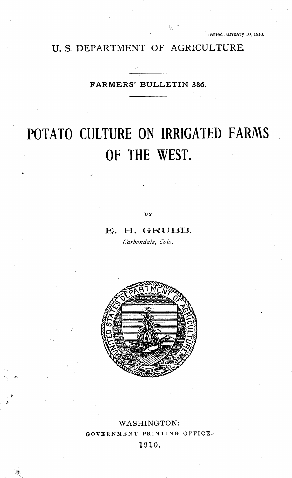Issued January 10,1910.

## U. S. DEPARTMENT OF . AGRICULTURE.

### **FARMERS\* BULLETIN 386.**

# **POTATO CULTURE ON IRRIGATED FARMS OF THE WEST.**

BY

### **E. H. GRUBB,**

*Carbondale, Colo,*



### **WASHINGTON:** GOVERNMENT PRINTING OFFICE. **1910,**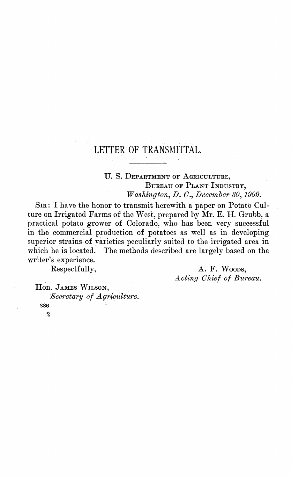# **LETTER OF TRANSMITTAL.**

U. S. DEPARTMENT OF AGRICULTURE,

BUREAU OF PLANT INDUSTRY, *Washington, D. C., December 30, 1909.* 

SIR: I have the honor to transmit herewith a paper on Potato Culture on Irrigated Farms of the West, prepared by Mr. E. H. Grubb, a practical potato grower of Colorado, who has been very successful in the commercial production of potatoes as well as in developing superior strains of varieties peculiarly suited to the irrigated area in which he is located. The methods described are largely based on the The methods described are largely based on the writer's experience.<br>Respectfully,

A. F. Woods, *Acting Chief of Bureau.*

Hon. JAMES WILSON,

*Secretary of Agriculture.* **386 2**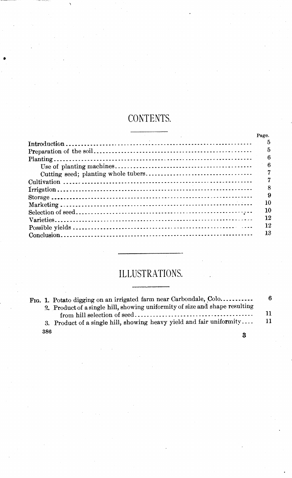# CONTENTS.

| Page. |
|-------|
| 5     |
| 5     |
| 6     |
| 6     |
|       |
| 7     |
| 8     |
| 9     |
| 10    |
| 10    |
| 12    |
| 12    |
| 13    |
|       |

# ILLUSTRATIONS.

|     | FIG. 1. Potato digging on an irrigated farm near Carbondale, Colo           | в.  |
|-----|-----------------------------------------------------------------------------|-----|
|     | 2. Product of a single hill, showing uniformity of size and shape resulting |     |
|     |                                                                             | 11. |
|     | 3. Product of a single hill, showing heavy yield and fair uniformity        | 11. |
| 386 |                                                                             |     |

 $\overline{\mathbf{3}}$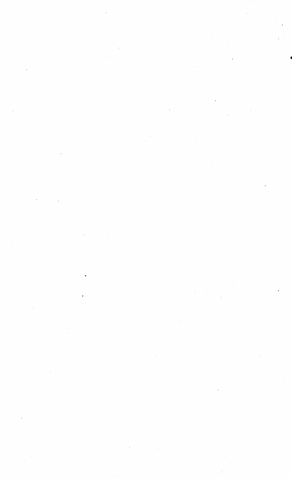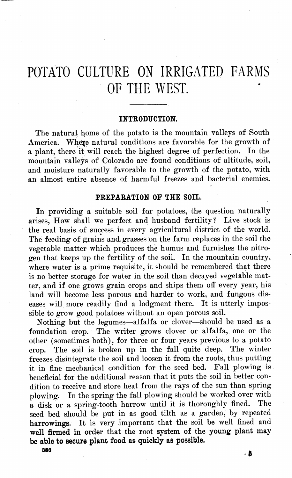# POTATO CULTURE ON IRRIGATED FARMS OF THE WEST.

#### **INTRODUCTION.**

The natural home of the potato is the mountain valleys of South America. Where natural conditions are favorable for the growth of a plant, there it will reach the highest degree of perfection. In the mountain valleys of Colorado are found conditions of altitude, soil, and moisture naturally favorable to the growth of the potato, with an almost entire absence of harmful freezes and bacterial enemies.

#### **PREPARATION OF THE SOIL.**

In providing a suitable soil for potatoes, the question naturally arises, How shall we perfect and husband fertility? Live stock is the real basis of success in every agricultural district of the world. The feeding of grains and. grasses on the farm replaces in the soil the vegetable matter which produces the humus and furnishes the nitrogen that keeps up the fertility of the soil. In the mountain country, where water is a prime requisite, it should be remembered that there is no better storage for water in the soil than decayed vegetable matter, and if one grows grain crops and ships them off every year, his land will become less porous and harder to work, and fungous diseases will more readily find a lodgment there. It is utterly impossible to grow good potatoes without an open porous soil.

Nothing but the legumes—alfalfa or clover—should be used as a foundation crop. The writer grows clover or alfalfa, one or the other (sometimes both), for three or four years previous to a potato crop. The soil is broken up in the fall quite deep. The winter freezes disintegrate the soil and loosen it from the roots, thus putting it in fine mechanical condition for the seed bed. Fall plowing is. beneficial for the additional reason that it puts the soil in better condition to receive and store heat from the rays of the sun than spring plowing. In the spring the fall plowing should be worked over with a disk or a spring-tooth harrow until it is thoroughly fined. The seed bed should be put in as good tilth as a garden, by repeated harrowings. It is very important that the soil be well fined and **well firmed in order** that the root system **of** the **young plant may be able to secure plant food as quickly as possible.**

**886 »**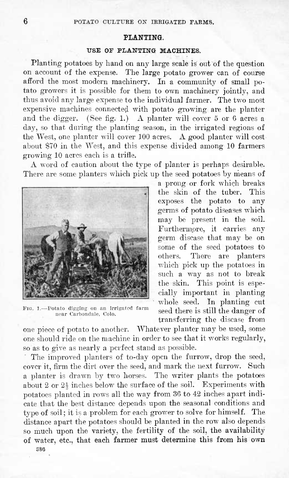#### PLANTING.

#### USE OP PLANTING MACHINES.

Planting potatoes by hand on any large scale is out of the question on account of the expense. The large potato grower can of course afford the most modern machinery. In a community of small potato growers it is possible for them to own machinery jointly, and thus avoid any large expense to the individual farmer. The two most expensive machines connected with potato growing are the planter and the digger. (See fig. 1.) A planter will cover 5 or 6 acres a day, so that during the planting season, in the irrigated regions of the West, one planter will cover 100 acres. A good planter will cost about \$70 in the West, and this expense divided among 10 farmers growing 10 acres each is a trifle.

A word of caution about the type of planter is perhaps desirable. There are some planters which pick up the seed potatoes by means of



FIG. 1.-Potato digging on an irrigated farm near Carbondale, Colo.

a prong or fork which breaks the skin of the tuber. This exposes the potato to any germs of potato diseases which may be present in the soil. Furthermpre, it carries any germ disease that may be on some of the seed potatoes tô others. There are planters which pick up the potatoes in such a way as not to break the skin. This point is especially important in planting whole seed. In planting cut seed there is still the danger of transferring the disease from

one piece of potato to another. Whatever planter may be used, some one should ride on the machine in order to see that it works regularly, so as to give as nearly a perfect stand as possible.

The improved planters of to-day open the furrow, drop the seed, cover it, firm the dirt over the seed, and mark the next furrow. Such a planter is drawn by two horses. The writer plants the potatoes about 2 or  $2\frac{1}{2}$  inches below the surface of the soil. Experiments with potatoes planted in rows all the way from 36 to 42 inches apart indicate that the best distance depends upon the seasonal conditions and type of soil ; it is a problem for each grower to solve for himself. The distance apart the potatoes should be planted in the row also depends so much upon the variety, the fertility of the soil, the availability of water, etc., that each farmer must determine this from his own 380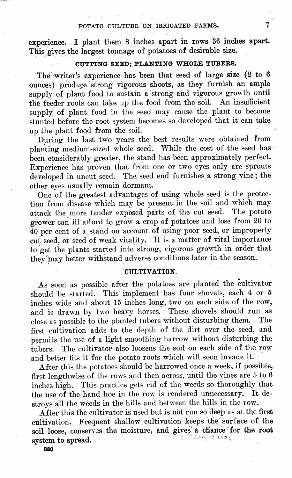#### POTATO CULTURE ON IRRIGATED FARMS.

experience. I plant them <sup>8</sup> inches apart in rows <sup>36</sup> inches apart. This gives the largest tonnage of potatoes of desirable size.

### **CUTTING SEED; PLANTING WHOLE TUBEBS.**

The writer's experience has been that seed of large size (2 to 6 ounces) produce strong vigorous shoots, as they furnish an ample supply of plant food to sustain a strong and vigorous growth until the feeder roots can take up the food from the soil. An insufficient supply of plant food in the seed may cause the plant to become stunted before the root system becomes so developed that it can take up the plant food from the soil.

During the last two years the best results were obtained from planting medium-sized whole seed. While the cost of the seed has been considerably greater, the stand has been approximately perfect. Experience has proven that from one or two eyes only are sprouts developed in uncut seed. The seed end furnishes a strong vine; the other eyes usually remain dormant.

One of the greatest advantages of using whole seed is the protection from disease which may be present in the soil and which may attack the more tender exposed parts of the cut seed. The potato grower can ill afford to grow a crop of potatoes and lose from 20 to 40 per cent of a stand on account of using poor seed, or improperly cut seed, or seed of weak vitality. It is a matter of vital importance to get the plants started into strong, vigorous growth in order that they'may better withstand adverse conditions later in the season.

#### CULTIVATION.

As soon as possible after the potatoes are planted the cultivator should be started. This implement has four shovels, each 4 or 5 inches wide and about 15 inches long, two on each side of the row, and is drawn by two heavy horses. These shovels should run as close as possible to the planted tubers without disturbing them. The first cultivation adds to the depth of the dirt over the seed, and permits the use of a light smoothing harrow without disturbing the tubers. The cultivator also loosens the soil on each side of the row arid better fits it for the potato roots which will soon invade it.

After this the potatoes should be harrowed once a week, if possible, first lengthwise of the rows and then across, until the vines are 5 to 6 inches high. This practice gets rid of the weeds so thoroughly that the use of the hand hoe in the row is rendered unnecessary. It destroys all the weeds in the hills and between the hills in the row.

After this the cultivator is used but is not run so deep as at the first cultivation. Frequent shallow cultivation keeps the surface of the soil loose, conserves the moisture, and gives a chance for the root system to spread.

**880**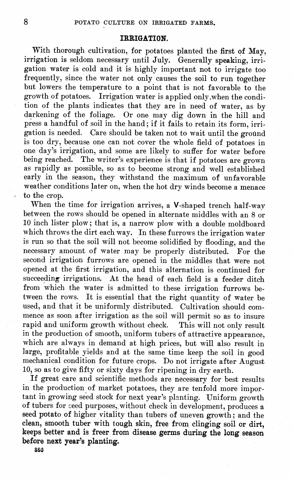#### **IRBIGATION.**

With thorough cultivation, for potatoes planted the first of May, irrigation is seldom necessary until July. Generally speaking, irrigation water is cold and it is highly important not to irrigate too frequently, since the water not only causes the soil to run together but lowers the temperature to a point that is not favorable to the growth of potatoes. Irrigation water is applied only .when the condition of the plants indicates that they are in need of water, as by darkening of the foliage. Or one may dig down in the hill and press a handful of soil in the hand ; if it fails to retain its form, irrigation is needed. Care should be taken not to wait until the ground is too dry, because one can not cover the whole field of potatoes in one day's irrigation, and some are likely to suffer for water before being reached. The writer's experience is that if potatoes are grown as rapidly as possible, so as to become strong and well established early in the season, they withstand the maximum of unfavorable weather conditions later on, when the hot dry winds become a menace to the crop.

When the time for irrigation arrives, a V-shaped trench half-way between the rows should be opened in alternate middles with an 8 or 10 inch lister plow ; that is, a narrow plow with a double moldboard which throws the dirt each way. In these furrows the irrigation water is run so that the soil will not become solidified by flooding, and the necessary amount of water may be properly distributed. For the second irrigation furrows are opened in the middles that were not opened at the first irrigation, and this alternation is continued for succeeding irrigations. At the head of each field is a feeder ditch from which the water is admitted to these irrigation furrows between the rows. It is essential that the right quantity of water be used, and that it be uniformly distributed. Cultivation should commence as soon after irrigation as the soil will permit so as to insure rapid and uniform growth without check. This will not only result in the production of smooth, uniform tubers of attractive appearance, which are always in demand at high prices, but will also result in large, profitable yields and at the same time keep the soil in good mechanical condition for future crops. Do not irrigate after August 10, so as to give fifty or sixty days for ripening in dry earth.

If great care and scientific methods are necessary for best results in the production of market potatoes, they are tenfold more important in growing seed stock for next year's planting. Uniform growth of tubers for seed purposes, without check in development, produces a seed potato of higher vitality than tubers of uneven growth; and the clean, smooth tuber with tough skin, free from clinging soil **or** dirt, keeps **better and** is freer **from** disease **germs during the long season before next year's planting.**

**SSO**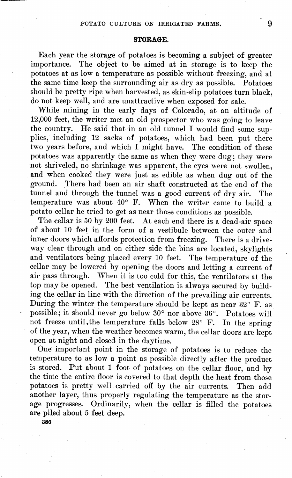#### **STORAGE.**

Each year the storage of potatoes is becoming a subject of greater importance. The object to be aimed at in storage is to keep the potatoes at as low a temperature as possible without freezing, and at the same time keep the surrounding air as dry as possible. Potatoes should be pretty ripe when harvested, as skin-slip potatoes turn black, do not keep well, and are unattractive when exposed for sale.

While mining in the early days of Colorado, at an altitude of 12,000 feet, the writer met an old prospector who was going to leave the country. He said that in an old tunnel I would find some supplies, including 12 sacks of potatoes, which had been put there two years before, and which I might have. The condition of these potatoes was apparently the same as when they were dug ; they were not shriveled, no shrinkage was apparent, the eyes were not swollen, and when cooked they were just as edible as when dug out of the ground. There had been an air shaft constructed at the end of the tunnel and through the tunnel was a good current of dry air. The temperature was about 40° F. When the writer came to build a potato cellar he tried to get as near those conditions as possible.

The cellar is 50 by 200 feet. At each end there is a dead-air space of about 10 feet in the form of a vestibule between the outer and inner doors which affords protection from freezing. There is a driveway clear through and on either side the bins are located, skylights and ventilators being placed every 10 feet. The temperature of the cellar may be lowered by opening the doors and letting a current of air pass through. When it is too cold for this, the ventilators at the top may be opened. The best ventilation is always secured by building the cellar in line with the direction of the prevailing air currents. During the winter the temperature should be kept as near 32° F. as possible; it should never go below 30° nor above 36°. Potatoes will not freeze until.the temperature falls below 28° F. In the spring of the year, when the weather becomes warm, the cellar doors are kept open at night and closed in the daytime.

One important point in the storage of potatoes is to reduce the temperature to as low a point as possible directly after the product is stored. Put about <sup>1</sup> foot of potatoes on the cellar floor, and by the time the entire floor is covered to that depth the heat from those potatoes is pretty well carried off by the air currents. Then add another layer, thus properly regulating the temperature as the storage progresses. Ordinarily, when the cellar is filled the potatoes are piled about 5 feet deep.

**386**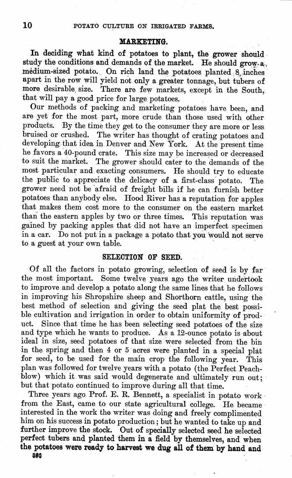#### **MARKETING.**

**In** deciding what kind of potatoes to plant, the grower should study the conditions and demands of the market. He should grow,  $a$ , medium-sized potato. On rich land the potatoes planted 8, inches apart in the row will yield not only a greater tonnage, but tubers of more desirable size. There are few markets, except in the South, that will pay a good price for large potatoes.

Our methods of packing and marketing potatoes have been, and are yet for the most part, more crude than those used with other products. By the time they get to the consumer they are more or less bruised or crushed. The writer has thought of crating potatoes and developing that idea in Denver and New York. At the present time he favors a 40-pound crate. This size may be increased or decreased to suit the market. The grower should cater to the demands of the most particular and exacting consumers. He should try to educate the public to appreciate the delicacy of a first-class potato. The grower need not be afraid of freight bills if he can furnish better potatoes than anybody else. Hood Kiver has a reputation for apples that makes them cost more to the consumer on the eastern market than the eastern apples by two or three times. This reputation was gained by packing apples that did not have an imperfect specimen in a car. Do not put in a package a potato that you would not serve to a guest at your own table.

#### SELECTION **OP SEED.**

Of all the factors in potato growing, selection of seed is by far the most important. Some twelve years ago the writer undertook to improve and develop a potato along the same lines that he follows in improving his Shropshire sheep and Shorthorn cattle, using the best method of selection and giving the seed plat the best possible cultivation and irrigation in order to obtain uniformity of product. Since that time he has been selecting seed potatoes of the size and type which he wants to produce. As a 12-ounce potato is about ideal in size, seed potatoes of that size were selected from the bin in the spring and then 4 or <sup>5</sup> acres were planted in a special plat for seed, to be used for the main crop the following year. This plan was followed for twelve years with a potato (the Perfect Peachblow) which it was said would degenerate and ultimately run out: but that potato continued to improve during all that time.

Three years ago Prof. E. E. Bennett, a specialist in potato work from the East, came to our state agricultural college. He became interested in the work the writer was doing and freely complimented him on his success in potato production ; but he wanted to take up and further improve the stock. Out of specially selected seed he selected perfect tubers and planted them in a field by themselves, and when the potatoes **were ready to harvest we dug all of them by hand and**

*m*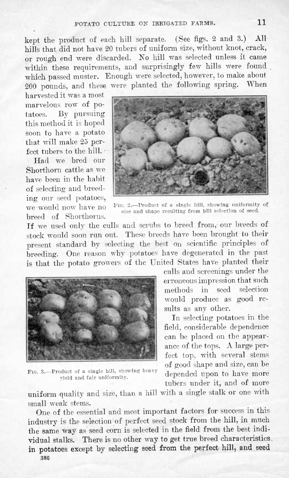#### POTATO CULTURE ON IRRIGATED FARMS. 11

kept the product of each hill separate. (See figs. 2 and 3.) All hills that did not have 20 tubers of uniform size, without knot, crack, or rough end were discarded. No hill was selected unless it came within these requirements, and surprisingly few hills were found which passed muster. Enough were selected, however, to make about 200 pounds, and these were planted the following spring. When

harvested it was a most marvelous row of potatoes. By pursuing this method it is hoped soon to have a potato that will make 25 perfect tubers to the hill.

Had we bred our Shorthorn cattle as we have been in the habit of selecting and breeding our seed potatoes, we would now have no breed of Shorthorns.



FIG. 2.--Product of a single hill, showing uniformity of size and shape resulting from hill selection of seed.

If we used only the culls and scrubs to breed from, our breeds of stock would soon run out. These breeds have been brought to their present standard by selecting the best on scientific principles of breeding. One reason why potatoes have degenerated in the past is that the potato growers of the United States have planted their



FIG. 3.—Product of a single hill, showing heavy yield and fair uniformity.

culls and screenings under the erroneous impression that such methods in seed selection would produce as good results as any other.

In selecting potatoes in the field, considerable dependence can be placed on the appearance of the tops. A large perfect top, with several stems of good shape and size, can be depended upon to have more tubers under it, and of more

uniform quality and size, than a hill with a single stalk or one with small weak stems.

One of the essential and most important factors for success in this industry is the selection of perfect seed stock from the hill, in much the same way as seed corn is selected in the field from the best individual stalks. There is no other way to get true breed characteristics in potatoes except by selecting seed **from the perfect hill,** and seed 380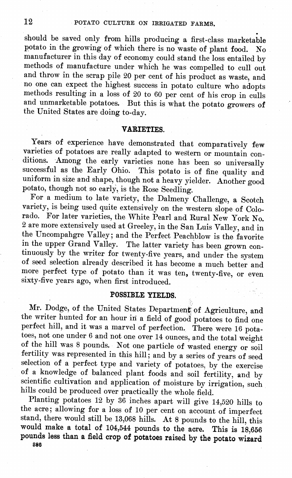should be saved only from hills producing a first-class marketable potato in the growing of which there is no waste of plant food. No manufacturer in this day of economy could stand the loss entailed by methods of manufacture under which he was compelled to cull out and throw in the scrap pile 20 per cent of his product as waste, and no one can expect the highest success in potato culture who adopts methods resulting in a loss of 20 to 60 per cent of his crop in culls and unmarketable potatoes. But this is what the potato growers of the United States are doing to-day.

#### **VAEIETIES.**

Years of experience have demonstrated that comparatively few varieties of potatoes are really adapted to western or mountain conditions. Among the early varieties none has been so universally successful as the Early Ohio. This potato is of fine quality and uniform in size and shape, though not a heavy yielder. Another good potato, though not so early, is the Eose Seedling.

For a medium to late variety, the Dalmeny Challenge, a Scotch variety, is being used quite extensively on the western slope of Colorado. For later varieties, the White Pearl and Rural New York No. 2 are more extensively used at Greeley, in the San Luis Valley, and in the Uncompahgre Valley; and the Perfect Peachblow is the favorite in the upper Grand Valley. The latter variety has been grown continuously by the writer for twenty-five years, and under the system of seed selection already described it has become a much better and more perfect type of potato than it was ten, twenty-five, or even sixty-five years ago, when first introduced.

#### **POSSIBLE YIELDS.**

Mr. Dodge, of the United States Department of Agriculture, and the writer hunted for an hour in a field of good potatoes to find one perfect hill, and it was a marvel of perfection. There were 16 potatoes, not one under 6 and not one over 14 ounces, and the total weight of the hill was 8 pounds. Not one particle of wasted energy or soil fertility was represented in this hill; and by a series of years of seed selection of a perfect type and variety of potatoes, by the exercise of a knowledge of balanced plant foods and soil fertility, and by scientific cultivation and application of moisture by irrigation, such hills could be produced over practically the whole field.

Planting potatoes 12 by 36 inches apart will give 14,520 hills to the acre; allowing for a loss of 10 per cent on account of imperfect stand, there would still be 13,068 hills. At 8 pounds to the hill, this would make **a** total **of** 104,544 pounds **to** the acre. This **is** 18,656 **pounds less than a field crop of potatoes raised by the potato wizard**

**886**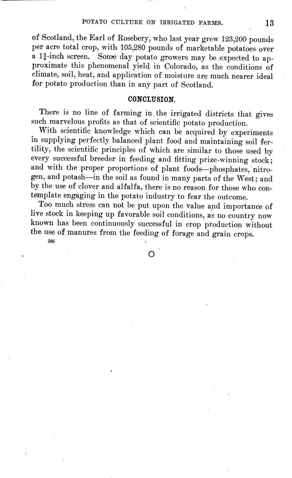of Scotland, the Earl of Kosebery, who last year grew 123,200 pounds per acre total crop, with 105,280 pounds of marketable potatoes over a  $1\frac{3}{4}$ -inch screen. Some day potato growers may be expected to approximate this phenomenal yield in Colorado, as the conditions of climate, soil, heat, and application of moisture are much nearer ideal for potato production than in any part of Scotland.

#### CONCLUSION.

There is no line of farming in the irrigated districts that gives such marvelous profits as that of scientific potato production.

With scientific knowledge which can be acquired by experiments in supplying perfectly balanced plant food and maintaining soil fertility, the scientific principles of which are similar to those used by every successful breeder in feeding and fitting prize-winning stock; and with the proper proportions of plant foods-phosphates, nitrogen, and potash—in the soil as found in many parts of the West; and by the use of clover and alfalfa, there is no reason for those who contemplate engaging in the potato industry to fear the outcome.

Too much stress can not be put upon the value and importance of live stock in keeping up favorable soil conditions, as no country now known has been continuously successful in crop production without the use of manures from the feeding of forage and grain crops.

386

**O**